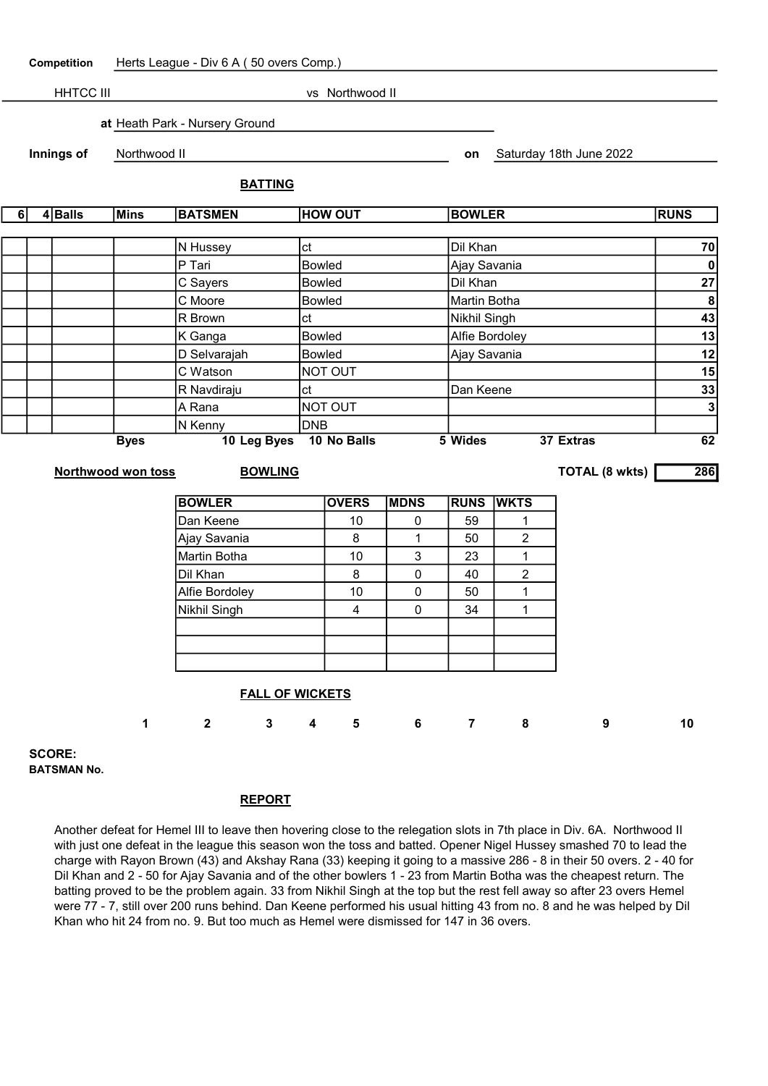| Competition                         |                                                               | Herts League - Div 6 A (50 overs Comp.) |              |                                  |               |                         |               |                |                |                                     |                 |  |
|-------------------------------------|---------------------------------------------------------------|-----------------------------------------|--------------|----------------------------------|---------------|-------------------------|---------------|----------------|----------------|-------------------------------------|-----------------|--|
| <b>HHTCC III</b><br>vs Northwood II |                                                               |                                         |              |                                  |               |                         |               |                |                |                                     |                 |  |
|                                     |                                                               |                                         |              | at Heath Park - Nursery Ground   |               |                         |               |                |                |                                     |                 |  |
|                                     |                                                               | Innings of                              | Northwood II |                                  |               |                         |               |                |                | Saturday 18th June 2022             |                 |  |
|                                     |                                                               |                                         |              | <b>BATTING</b>                   |               |                         |               | on             |                |                                     |                 |  |
|                                     |                                                               |                                         |              |                                  |               |                         |               |                |                |                                     | <b>RUNS</b>     |  |
| $\overline{6}$                      |                                                               | 4Balls                                  | <b>Mins</b>  | <b>HOW OUT</b><br><b>BATSMEN</b> |               |                         |               | <b>BOWLER</b>  |                |                                     |                 |  |
|                                     |                                                               |                                         |              | N Hussey                         | ct            |                         |               |                | Dil Khan       |                                     |                 |  |
|                                     |                                                               |                                         |              | P Tari                           | <b>Bowled</b> |                         |               |                | Ajay Savania   |                                     |                 |  |
|                                     |                                                               |                                         |              | C Sayers                         |               | <b>Bowled</b>           |               | Dil Khan       |                |                                     | $\pmb{0}$<br>27 |  |
|                                     |                                                               |                                         |              | C Moore                          | <b>Bowled</b> |                         |               |                | Martin Botha   |                                     |                 |  |
|                                     |                                                               |                                         |              | R Brown                          | ct            |                         |               | Nikhil Singh   |                | $\boldsymbol{8}$<br>$\overline{43}$ |                 |  |
|                                     |                                                               |                                         | K Ganga      |                                  |               |                         | <b>Bowled</b> |                |                | Alfie Bordoley                      |                 |  |
|                                     |                                                               |                                         |              | D Selvarajah                     |               | <b>Bowled</b>           |               |                | Ajay Savania   |                                     |                 |  |
|                                     |                                                               |                                         |              | C Watson                         | NOT OUT       |                         |               |                |                | 15                                  |                 |  |
|                                     |                                                               |                                         |              | R Navdiraju                      | ct            |                         |               |                | Dan Keene      |                                     |                 |  |
|                                     |                                                               |                                         |              | A Rana                           |               | NOT OUT                 |               |                |                |                                     | 33              |  |
|                                     | N Kenny                                                       |                                         |              |                                  |               | <b>DNB</b>              |               |                |                |                                     |                 |  |
| 10 Leg Byes<br><b>Byes</b>          |                                                               |                                         |              |                                  |               | 10 No Balls             |               | 5 Wides        |                | 37 Extras                           | 62              |  |
|                                     | <b>TOTAL (8 wkts)</b><br>Northwood won toss<br><b>BOWLING</b> |                                         |              |                                  |               |                         |               |                | 286            |                                     |                 |  |
|                                     |                                                               |                                         |              |                                  |               |                         |               |                |                |                                     |                 |  |
|                                     |                                                               |                                         |              | <b>BOWLER</b>                    |               | <b>OVERS</b>            | <b>MDNS</b>   | <b>RUNS</b>    | <b>WKTS</b>    |                                     |                 |  |
|                                     |                                                               |                                         |              | Dan Keene                        |               | 10                      | 0             | 59             | 1              |                                     |                 |  |
|                                     |                                                               |                                         |              | Ajay Savania                     |               | $\bf 8$                 | $\mathbf{1}$  | 50             | $\overline{2}$ |                                     |                 |  |
|                                     |                                                               |                                         |              | Martin Botha                     |               | 10                      | 3             | 23             | $\mathbf{1}$   |                                     |                 |  |
|                                     |                                                               |                                         |              | Dil Khan                         |               | 8                       | $\pmb{0}$     | 40             | $\overline{c}$ |                                     |                 |  |
|                                     |                                                               |                                         |              | Alfie Bordoley                   |               | 10                      | 0             | 50             | 1              |                                     |                 |  |
|                                     |                                                               |                                         |              | Nikhil Singh                     |               | $\overline{\mathbf{4}}$ | 0             | 34             | 1              |                                     |                 |  |
|                                     |                                                               |                                         |              |                                  |               |                         |               |                |                |                                     |                 |  |
|                                     |                                                               |                                         |              |                                  |               |                         |               |                |                |                                     |                 |  |
|                                     |                                                               |                                         |              |                                  |               |                         |               |                |                |                                     |                 |  |
|                                     |                                                               |                                         |              | <b>FALL OF WICKETS</b>           |               |                         |               |                |                |                                     |                 |  |
|                                     |                                                               |                                         | 1            | $\mathbf 2$<br>3                 | 4             | 5                       | 6             | $\overline{7}$ | 8              | 9                                   | 10              |  |

SCORE: BATSMAN No.

## REPORT

Another defeat for Hemel III to leave then hovering close to the relegation slots in 7th place in Div. 6A. Northwood II with just one defeat in the league this season won the toss and batted. Opener Nigel Hussey smashed 70 to lead the charge with Rayon Brown (43) and Akshay Rana (33) keeping it going to a massive 286 - 8 in their 50 overs. 2 - 40 for Dil Khan and 2 - 50 for Ajay Savania and of the other bowlers 1 - 23 from Martin Botha was the cheapest return. The batting proved to be the problem again. 33 from Nikhil Singh at the top but the rest fell away so after 23 overs Hemel were 77 - 7, still over 200 runs behind. Dan Keene performed his usual hitting 43 from no. 8 and he was helped by Dil Khan who hit 24 from no. 9. But too much as Hemel were dismissed for 147 in 36 overs.